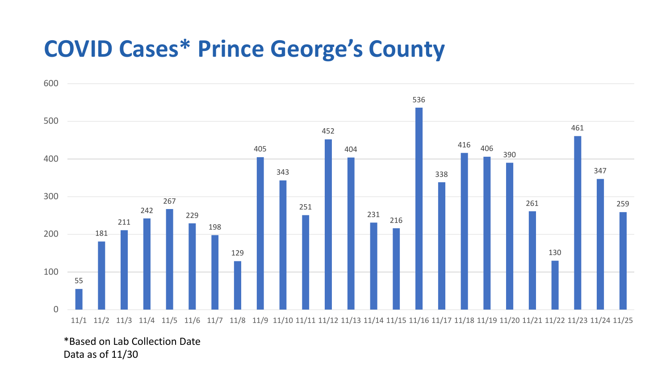## **COVID Cases\* Prince George's County**



\*Based on Lab Collection Date Data as of 11/30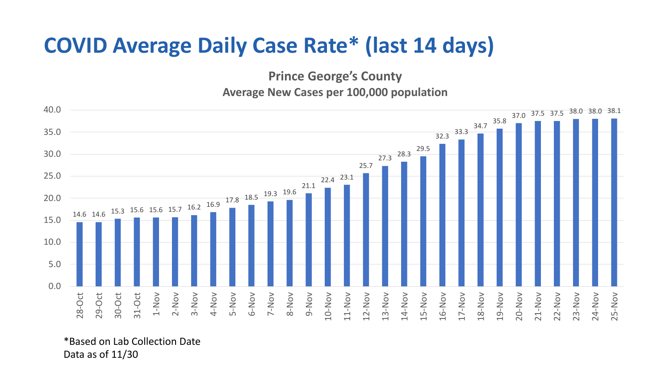## **COVID Average Daily Case Rate\* (last 14 days)**

**Prince George's County**

**Average New Cases per 100,000 population**



\*Based on Lab Collection Date Data as of 11/30